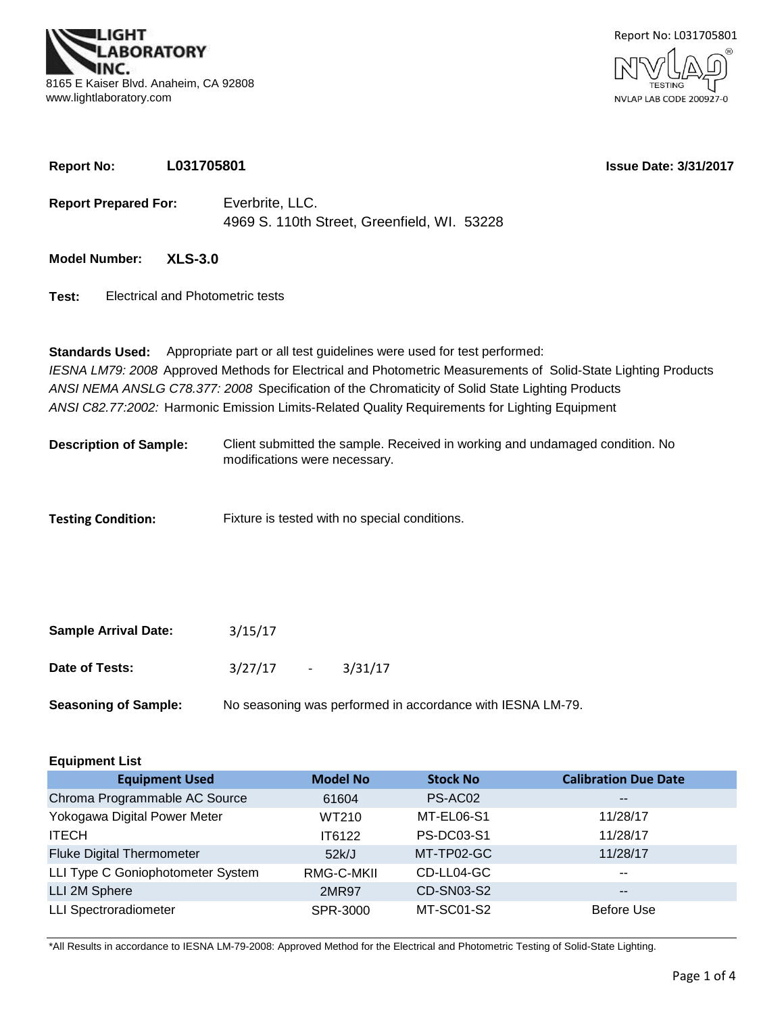

**Report No: L031705801**



**Issue Date: 3/31/2017**

| <b>Report Prepared For:</b>               | Everbrite, LLC.<br>4969 S. 110th Street, Greenfield, WI. 53228                                                                                                                                                                                                                                                                                                                                                       |  |  |  |  |  |  |
|-------------------------------------------|----------------------------------------------------------------------------------------------------------------------------------------------------------------------------------------------------------------------------------------------------------------------------------------------------------------------------------------------------------------------------------------------------------------------|--|--|--|--|--|--|
| <b>Model Number:</b><br><b>XLS-3.0</b>    |                                                                                                                                                                                                                                                                                                                                                                                                                      |  |  |  |  |  |  |
| Electrical and Photometric tests<br>Test: |                                                                                                                                                                                                                                                                                                                                                                                                                      |  |  |  |  |  |  |
|                                           | <b>Standards Used:</b> Appropriate part or all test guidelines were used for test performed:<br>IESNA LM79: 2008 Approved Methods for Electrical and Photometric Measurements of Solid-State Lighting Products<br>ANSI NEMA ANSLG C78.377: 2008 Specification of the Chromaticity of Solid State Lighting Products<br>ANSI C82.77:2002: Harmonic Emission Limits-Related Quality Requirements for Lighting Equipment |  |  |  |  |  |  |
| <b>Description of Sample:</b>             | Client submitted the sample. Received in working and undamaged condition. No<br>modifications were necessary.                                                                                                                                                                                                                                                                                                        |  |  |  |  |  |  |
| <b>Testing Condition:</b>                 | Fixture is tested with no special conditions.                                                                                                                                                                                                                                                                                                                                                                        |  |  |  |  |  |  |

| <b>Sample Arrival Date:</b> | 3/15/17     |                                                            |
|-----------------------------|-------------|------------------------------------------------------------|
| Date of Tests:              | $3/27/17 -$ | 3/31/17                                                    |
| <b>Seasoning of Sample:</b> |             | No seasoning was performed in accordance with IESNA LM-79. |

| <b>Equipment List</b>             |                 |                   |                             |  |  |  |  |  |  |
|-----------------------------------|-----------------|-------------------|-----------------------------|--|--|--|--|--|--|
| <b>Equipment Used</b>             | <b>Model No</b> | <b>Stock No</b>   | <b>Calibration Due Date</b> |  |  |  |  |  |  |
| Chroma Programmable AC Source     | 61604           | PS-AC02           | $- -$                       |  |  |  |  |  |  |
| Yokogawa Digital Power Meter      | WT210           | MT-EL06-S1        | 11/28/17                    |  |  |  |  |  |  |
| <b>ITECH</b>                      | IT6122          | <b>PS-DC03-S1</b> | 11/28/17                    |  |  |  |  |  |  |
| <b>Fluke Digital Thermometer</b>  | 52k/J           | MT-TP02-GC        | 11/28/17                    |  |  |  |  |  |  |
| LLI Type C Goniophotometer System | RMG-C-MKII      | CD-LL04-GC        | $- -$                       |  |  |  |  |  |  |
| LLI 2M Sphere                     | 2MR97           | CD-SN03-S2        | $- -$                       |  |  |  |  |  |  |
| <b>LLI Spectroradiometer</b>      | SPR-3000        | <b>MT-SC01-S2</b> | Before Use                  |  |  |  |  |  |  |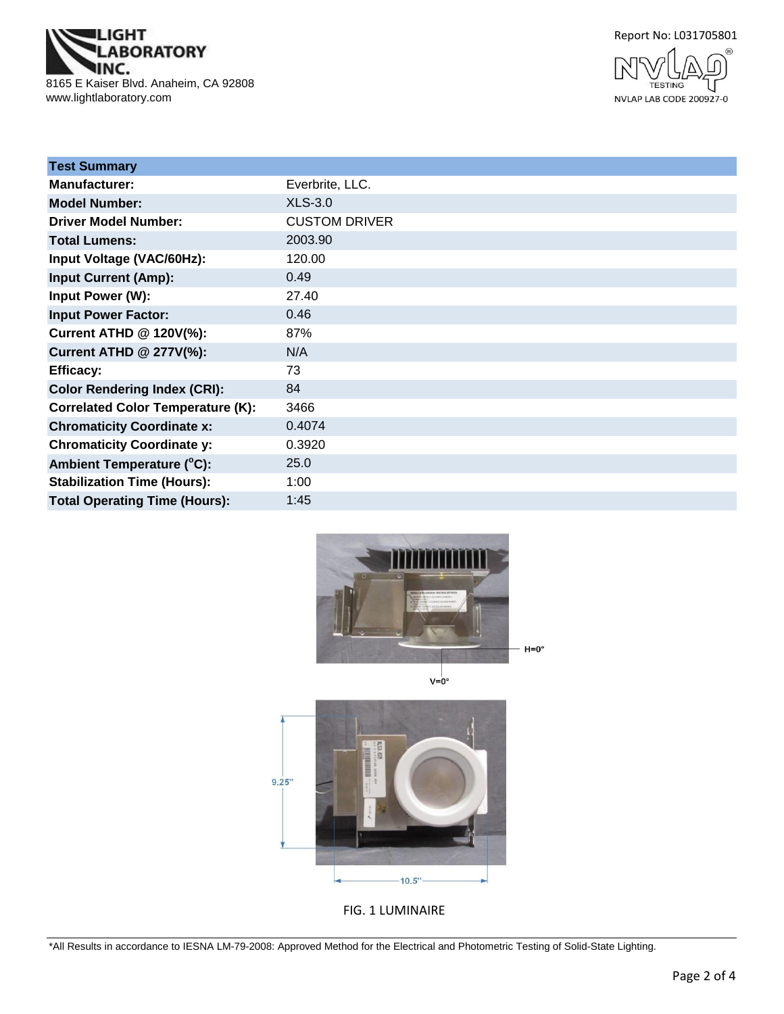**IGHT ABORATORY** NC. 8165 E Kaiser Blvd. Anaheim, CA 92808 www.lightlaboratory.com





| <b>Test Summary</b>                      |                      |
|------------------------------------------|----------------------|
| <b>Manufacturer:</b>                     | Everbrite, LLC.      |
| <b>Model Number:</b>                     | <b>XLS-3.0</b>       |
| <b>Driver Model Number:</b>              | <b>CUSTOM DRIVER</b> |
| <b>Total Lumens:</b>                     | 2003.90              |
| Input Voltage (VAC/60Hz):                | 120.00               |
| <b>Input Current (Amp):</b>              | 0.49                 |
| Input Power (W):                         | 27.40                |
| <b>Input Power Factor:</b>               | 0.46                 |
| Current ATHD @ 120V(%):                  | 87%                  |
| <b>Current ATHD @ 277V(%):</b>           | N/A                  |
| <b>Efficacy:</b>                         | 73                   |
| <b>Color Rendering Index (CRI):</b>      | 84                   |
| <b>Correlated Color Temperature (K):</b> | 3466                 |
| <b>Chromaticity Coordinate x:</b>        | 0.4074               |
| <b>Chromaticity Coordinate y:</b>        | 0.3920               |
| Ambient Temperature (°C):                | 25.0                 |
| <b>Stabilization Time (Hours):</b>       | 1:00                 |
| <b>Total Operating Time (Hours):</b>     | 1:45                 |





FIG. 1 LUMINAIRE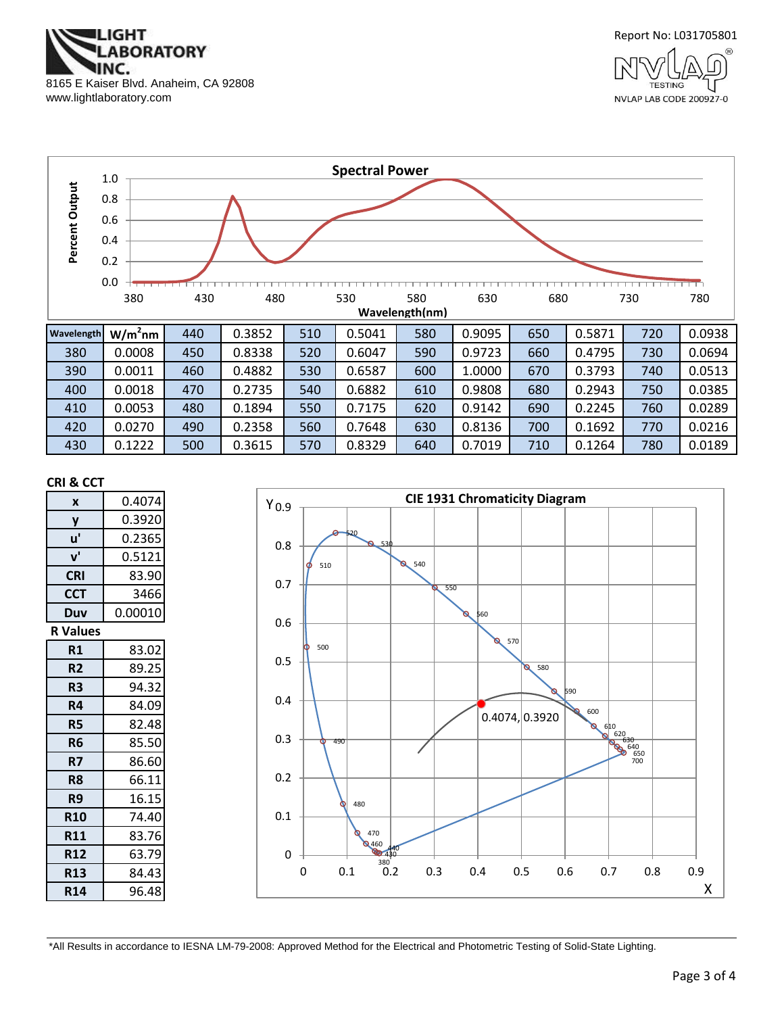



NVLAP LAB CODE 200927-0



430 | 0.1222 | 500 | 0.3615 | 570 | 0.8329 | 640 | 0.7019 | 710 | 0.1264 | 780 | 0.0189

#### **CRI & CCT**

| X               | 0.4074  |
|-----------------|---------|
| y               | 0.3920  |
| u'              | 0.2365  |
| ${\bf v}'$      | 0.5121  |
| <b>CRI</b>      | 83.90   |
| <b>CCT</b>      | 3466    |
| Duv             | 0.00010 |
| <b>R</b> Values |         |
| R1              | 83.02   |
| R <sub>2</sub>  | 89.25   |
| R3              | 94.32   |
| R4              | 84.09   |
| R5              | 82.48   |
| R6              | 85.50   |
| R7              | 86.60   |
| R <sub>8</sub>  | 66.11   |
| R9              | 16.15   |
| <b>R10</b>      | 74.40   |
| <b>R11</b>      | 83.76   |
| <b>R12</b>      | 63.79   |
| <b>R13</b>      | 84.43   |
| <b>R14</b>      | 96.48   |

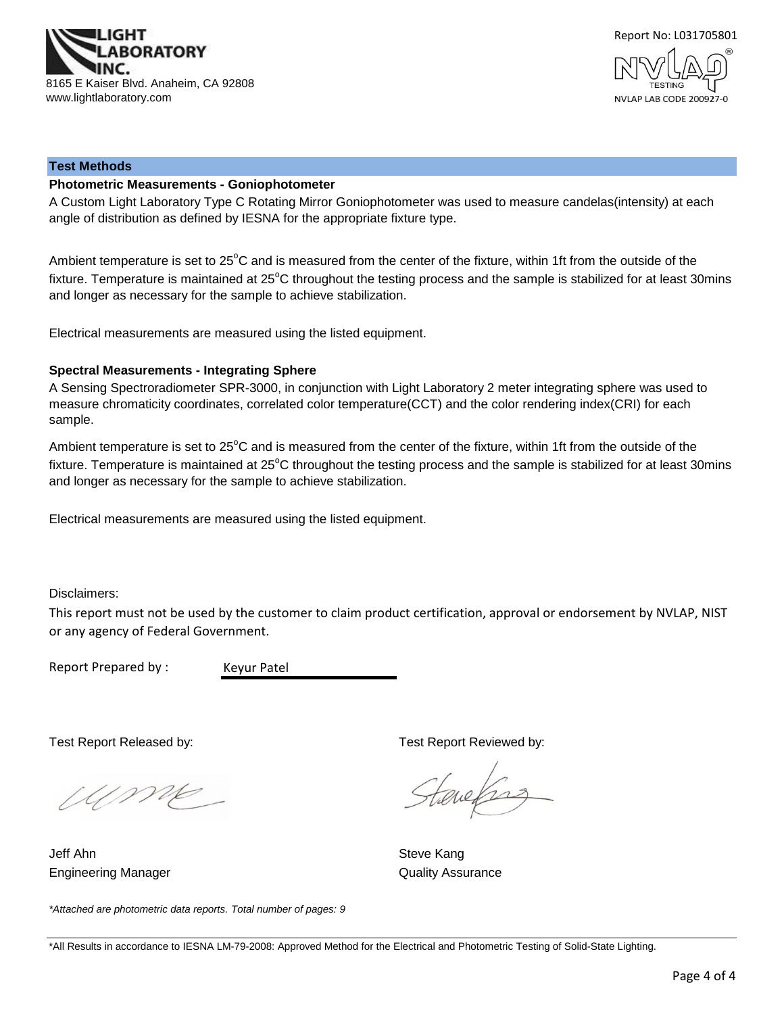



#### **Test Methods**

### **Photometric Measurements - Goniophotometer**

A Custom Light Laboratory Type C Rotating Mirror Goniophotometer was used to measure candelas(intensity) at each angle of distribution as defined by IESNA for the appropriate fixture type.

Ambient temperature is set to 25°C and is measured from the center of the fixture, within 1ft from the outside of the fixture. Temperature is maintained at  $25^{\circ}$ C throughout the testing process and the sample is stabilized for at least 30mins and longer as necessary for the sample to achieve stabilization.

Electrical measurements are measured using the listed equipment.

#### **Spectral Measurements - Integrating Sphere**

A Sensing Spectroradiometer SPR-3000, in conjunction with Light Laboratory 2 meter integrating sphere was used to measure chromaticity coordinates, correlated color temperature(CCT) and the color rendering index(CRI) for each sample.

Ambient temperature is set to 25°C and is measured from the center of the fixture, within 1ft from the outside of the fixture. Temperature is maintained at  $25^{\circ}$ C throughout the testing process and the sample is stabilized for at least 30mins and longer as necessary for the sample to achieve stabilization.

Electrical measurements are measured using the listed equipment.

Disclaimers:

This report must not be used by the customer to claim product certification, approval or endorsement by NVLAP, NIST or any agency of Federal Government.

Report Prepared by :

Keyur Patel

Wme

*\*Attached are photometric data reports. Total number of pages: 9*

Engineering Manager **Contract Contract Contract Contract Contract Contract Contract Contract Contract Contract Contract Contract Contract Contract Contract Contract Contract Contract Contract Contract Contract Contract Con** Jeff Ahn Steve Kang

Test Report Released by: Test Report Reviewed by:

tenefras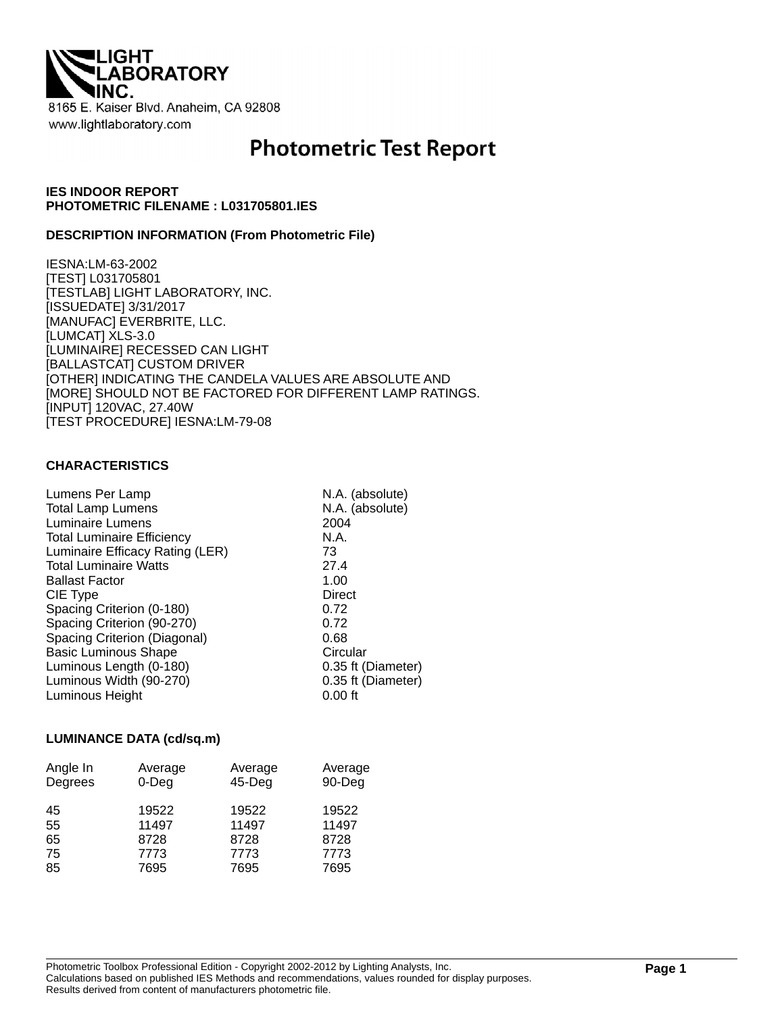

# **Photometric Test Report**

# **IES INDOOR REPORT PHOTOMETRIC FILENAME : L031705801.IES**

### **DESCRIPTION INFORMATION (From Photometric File)**

IESNA:LM-63-2002 [TEST] L031705801 [TESTLAB] LIGHT LABORATORY, INC. [ISSUEDATE] 3/31/2017 [MANUFAC] EVERBRITE, LLC. [LUMCAT] XLS-3.0 [LUMINAIRE] RECESSED CAN LIGHT [BALLASTCAT] CUSTOM DRIVER [OTHER] INDICATING THE CANDELA VALUES ARE ABSOLUTE AND [MORE] SHOULD NOT BE FACTORED FOR DIFFERENT LAMP RATINGS. [INPUT] 120VAC, 27.40W [TEST PROCEDURE] IESNA:LM-79-08

### **CHARACTERISTICS**

| Lumens Per Lamp<br><b>Total Lamp Lumens</b><br>Luminaire Lumens | N.A. (absolute)<br>N.A. (absolute)<br>2004 |
|-----------------------------------------------------------------|--------------------------------------------|
| <b>Total Luminaire Efficiency</b>                               | N.A.                                       |
| Luminaire Efficacy Rating (LER)                                 | 73                                         |
| <b>Total Luminaire Watts</b>                                    | 27.4                                       |
| <b>Ballast Factor</b>                                           | 1.00                                       |
| CIE Type                                                        | Direct                                     |
| Spacing Criterion (0-180)                                       | 0.72                                       |
| Spacing Criterion (90-270)                                      | 0.72                                       |
| Spacing Criterion (Diagonal)                                    | 0.68                                       |
| <b>Basic Luminous Shape</b>                                     | Circular                                   |
| Luminous Length (0-180)                                         | 0.35 ft (Diameter)                         |
| Luminous Width (90-270)                                         | 0.35 ft (Diameter)                         |
| Luminous Height                                                 | $0.00$ ft                                  |
|                                                                 |                                            |

#### **LUMINANCE DATA (cd/sq.m)**

| Angle In<br>Degrees | Average<br>$0$ -Deg | Average<br>$45$ -Deg | Average<br>90-Deg |
|---------------------|---------------------|----------------------|-------------------|
| 45                  | 19522               | 19522                | 19522             |
| 55                  | 11497               | 11497                | 11497             |
| 65                  | 8728                | 8728                 | 8728              |
| 75                  | 7773                | 7773                 | 7773              |
| 85                  | 7695                | 7695                 | 7695              |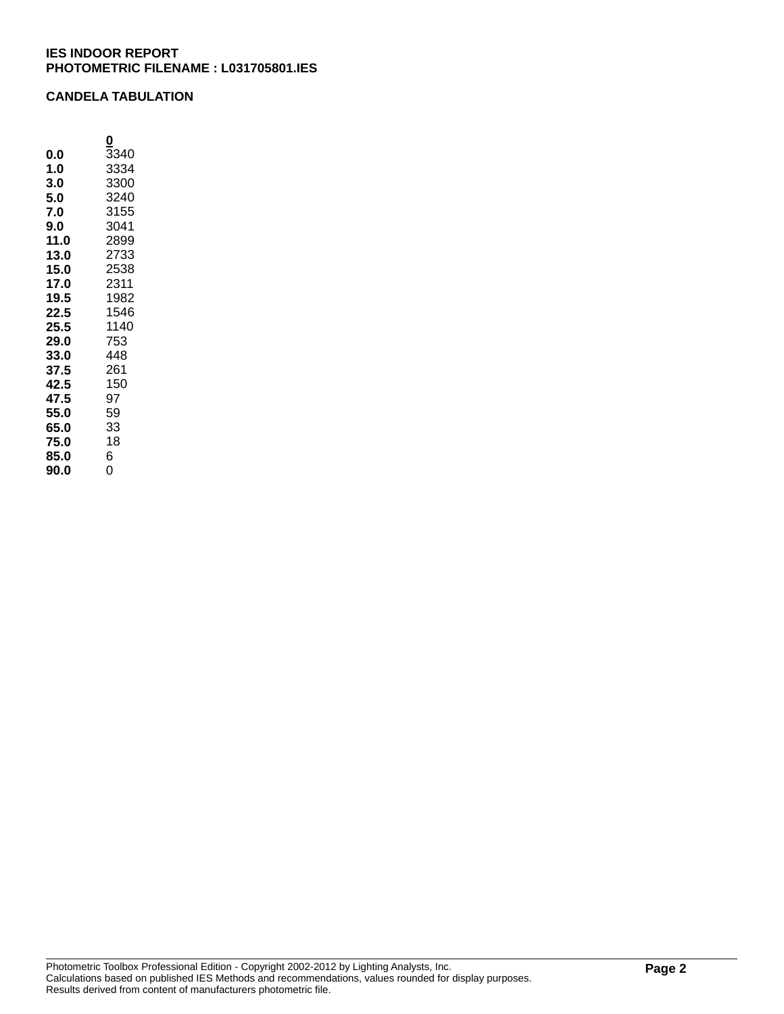# **IES INDOOR REPORT PHOTOMETRIC FILENAME : L031705801.IES**

# **CANDELA TABULATION**

**0 0.0**  $\overline{3}340$ <br>**1.0**  $3334$ **1.0** 3334<br>**3.0** 3300 **3.0** 3300<br>**5.0** 3240 **5.0** 3240<br>**7.0** 3155 **7.0** 3155<br>**9.0** 3041 **9.0** 3041<br>**11.0** 2899 **11.0** 2899 **13.0** 2733 **15.0** 2538 **17.0** 2311 **19.5** 1982 **22.5** 1546 **25.5** 1140 **29.0** 753 **33.0** 448<br>**37.5** 261 **37.5** 261 **42.5** 150 **47.5** 97 **55.0** 59 **65.0** 33 **75.0 85.0** 6

**90.0** 0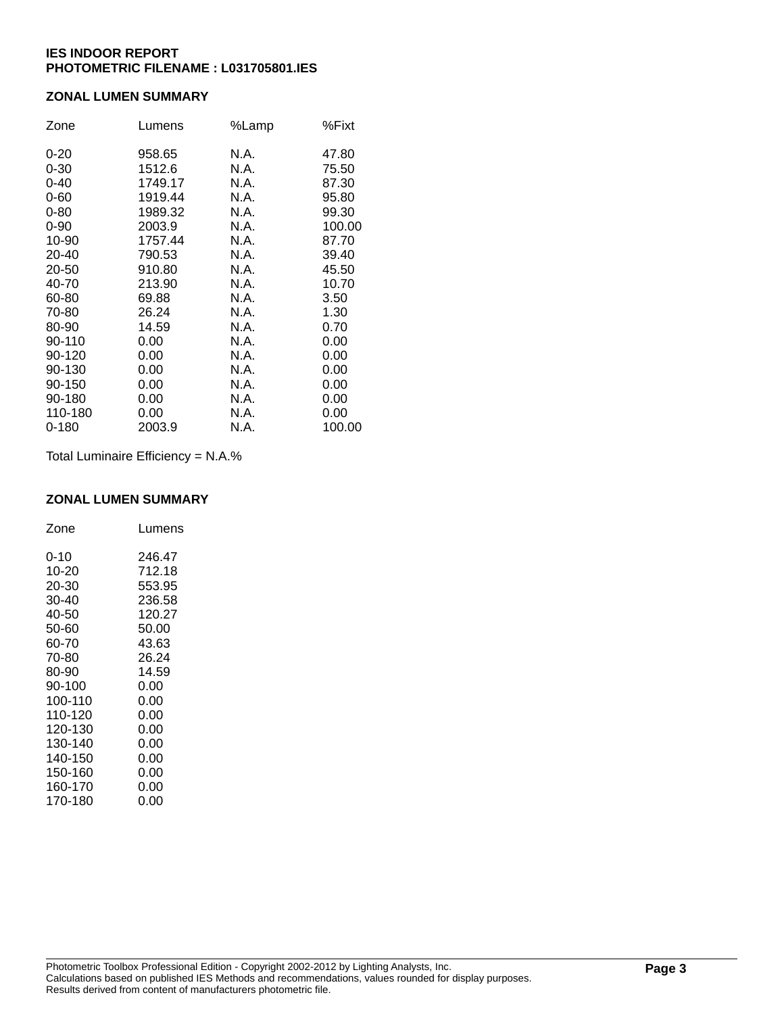# **IES INDOOR REPORT PHOTOMETRIC FILENAME : L031705801.IES**

# **ZONAL LUMEN SUMMARY**

| Zone      | Lumens  | %Lamp | %Fixt  |
|-----------|---------|-------|--------|
| $0 - 20$  | 958.65  | N.A.  | 47.80  |
| $0 - 30$  | 1512.6  | N.A.  | 75.50  |
| $0 - 40$  | 1749.17 | N.A.  | 87.30  |
| $0 - 60$  | 1919.44 | N.A.  | 95.80  |
| $0 - 80$  | 1989.32 | N.A.  | 99.30  |
| $0 - 90$  | 2003.9  | N.A.  | 100.00 |
| 10-90     | 1757.44 | N.A.  | 87.70  |
| 20-40     | 790.53  | N.A.  | 39.40  |
| 20-50     | 910.80  | N.A.  | 45.50  |
| 40-70     | 213.90  | N.A.  | 10.70  |
| 60-80     | 69.88   | N.A.  | 3.50   |
| 70-80     | 26.24   | N.A.  | 1.30   |
| 80-90     | 14.59   | N.A.  | 0.70   |
| 90-110    | 0.00    | N.A.  | 0.00   |
| 90-120    | 0.00    | N.A.  | 0.00   |
| 90-130    | 0.00    | N.A.  | 0.00   |
| 90-150    | 0.00    | N.A.  | 0.00   |
| 90-180    | 0.00    | N.A.  | 0.00   |
| 110-180   | 0.00    | N.A.  | 0.00   |
| $0 - 180$ | 2003.9  | N.A.  | 100.00 |

Total Luminaire Efficiency = N.A.%

#### **ZONAL LUMEN SUMMARY**

| Zone    | Lumens |
|---------|--------|
| 0-10    | 246.47 |
| 10-20   | 712.18 |
| 20-30   | 553.95 |
| 30-40   | 236.58 |
| 40-50   | 120.27 |
| 50-60   | 50.00  |
| 60-70   | 43.63  |
| 70-80   | 26.24  |
| 80-90   | 14.59  |
| 90-100  | 0.00   |
| 100-110 | 0.00   |
| 110-120 | 0.00   |
| 120-130 | 0.00   |
| 130-140 | 0.00   |
| 140-150 | 0.00   |
| 150-160 | 0.00   |
| 160-170 | 0.00   |
| 170-180 | 0.00   |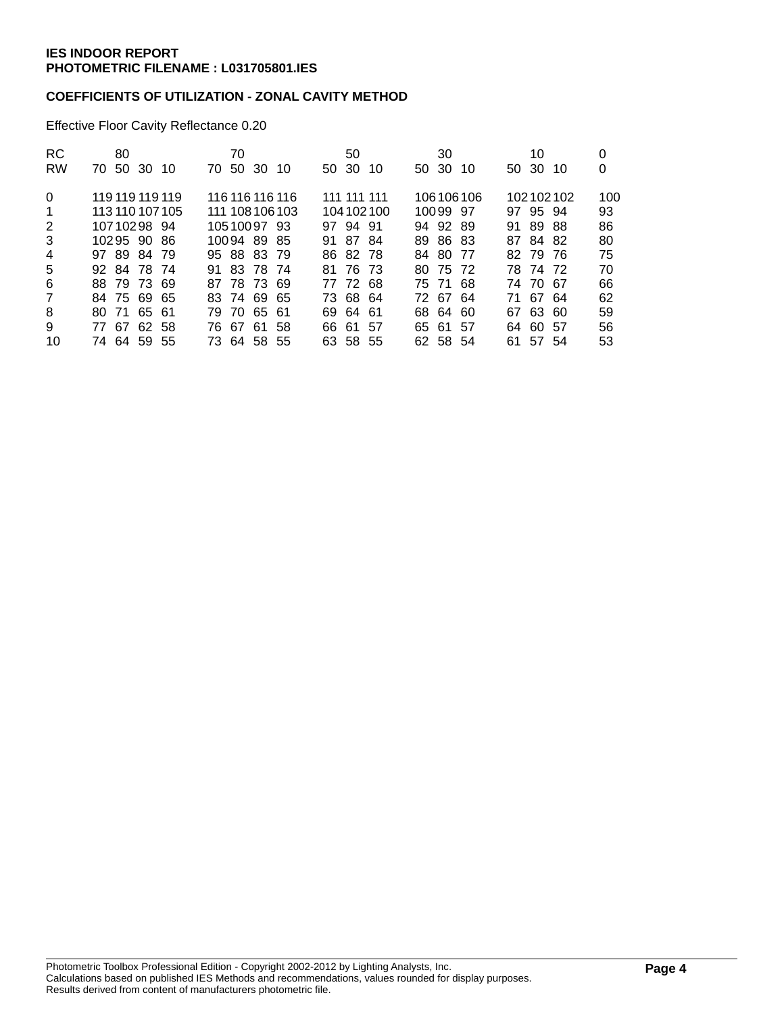# **COEFFICIENTS OF UTILIZATION - ZONAL CAVITY METHOD**

Effective Floor Cavity Reflectance 0.20

| RC             | 80              |  |             | 70    |             |                 |       | 50          |           |       | 30       |           |       | 10       |           | 0   |
|----------------|-----------------|--|-------------|-------|-------------|-----------------|-------|-------------|-----------|-------|----------|-----------|-------|----------|-----------|-----|
| <b>RW</b>      | 70 50 30 10     |  | 70.         | 50 30 |             | -10             | 50 30 |             | 10        | 50 30 |          | 10        | 50 30 |          | 10        | 0   |
| $\Omega$       | 119 119 119 119 |  |             |       |             | 116 116 116 116 |       | 111 111 111 |           |       |          | 106106106 |       |          | 102102102 | 100 |
| 1              | 113 110 107 105 |  |             |       |             | 111 108 106 103 |       |             | 104102100 |       | 10099 97 |           |       | 97 95 94 |           | 93  |
| 2              | 10710298 94     |  |             |       | 10510097 93 |                 |       | 97 94 91    |           |       | 94 92 89 |           | 91    | 8988     |           | 86  |
| 3              | 10295 90 86     |  |             |       | 10094 89 85 |                 | 91    | 8784        |           |       | 89 86 83 |           | 87.   | 84 82    |           | 80  |
| 4              | 97 89 84 79     |  | 95 88 83 79 |       |             |                 |       | 86 82 78    |           |       | 84 80 77 |           |       | 82 79 76 |           | 75  |
| 5              | 92 84 78 74     |  | 91 83 78 74 |       |             |                 | 81.   | 76 73       |           |       | 80 75 72 |           |       | 78 74 72 |           | 70  |
| 6              | 88 79 73 69     |  | 87 78 73 69 |       |             |                 |       | 77 72 68    |           |       | 75 71 68 |           |       | 74 70 67 |           | 66  |
| $\overline{7}$ | 84 75 69 65     |  | 83 74 69 65 |       |             |                 |       | 73 68 64    |           |       | 72 67 64 |           | 71    | 6764     |           | 62  |
| 8              | 80 71 65 61     |  |             |       | 79 70 65 61 |                 |       | 69 64 61    |           | 68 64 |          | 60        | 67    | 63 60    |           | 59  |
| 9              | 77 67 62 58     |  |             |       | 76 67 61    | 58              |       | 66 61 57    |           |       | 65 61 57 |           |       | 64 60 57 |           | 56  |
| 10             | 74 64 59 55     |  |             |       | 73 64 58 55 |                 |       | 63 58 55    |           |       | 62 58 54 |           |       | 61 57 54 |           | 53  |